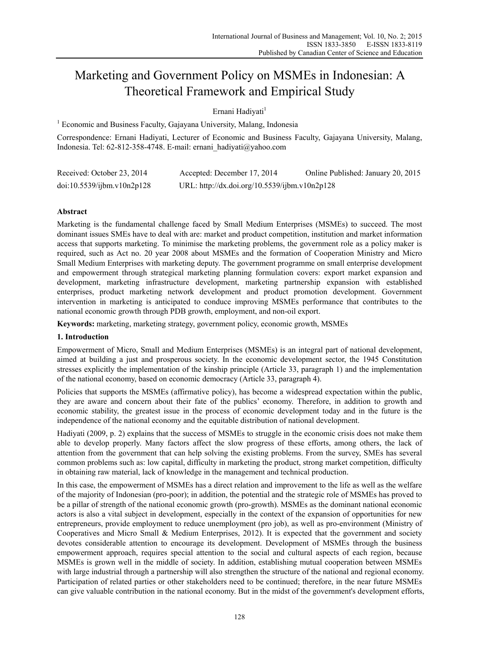# Marketing and Government Policy on MSMEs in Indonesian: A Theoretical Framework and Empirical Study

Ernani Hadiyati<sup>1</sup>

<sup>1</sup> Economic and Business Faculty, Gajayana University, Malang, Indonesia

Correspondence: Ernani Hadiyati, Lecturer of Economic and Business Faculty, Gajayana University, Malang, Indonesia. Tel: 62-812-358-4748. E-mail: ernani\_hadiyati@yahoo.com

| Received: October 23, 2014 | Accepted: December 17, 2014                   | Online Published: January 20, 2015 |
|----------------------------|-----------------------------------------------|------------------------------------|
| doi:10.5539/ijbm.v10n2p128 | URL: http://dx.doi.org/10.5539/ijbm.v10n2p128 |                                    |

# **Abstract**

Marketing is the fundamental challenge faced by Small Medium Enterprises (MSMEs) to succeed. The most dominant issues SMEs have to deal with are: market and product competition, institution and market information access that supports marketing. To minimise the marketing problems, the government role as a policy maker is required, such as Act no. 20 year 2008 about MSMEs and the formation of Cooperation Ministry and Micro Small Medium Enterprises with marketing deputy. The government programme on small enterprise development and empowerment through strategical marketing planning formulation covers: export market expansion and development, marketing infrastructure development, marketing partnership expansion with established enterprises, product marketing network development and product promotion development. Government intervention in marketing is anticipated to conduce improving MSMEs performance that contributes to the national economic growth through PDB growth, employment, and non-oil export.

**Keywords:** marketing, marketing strategy, government policy, economic growth, MSMEs

## **1. Introduction**

Empowerment of Micro, Small and Medium Enterprises (MSMEs) is an integral part of national development, aimed at building a just and prosperous society. In the economic development sector, the 1945 Constitution stresses explicitly the implementation of the kinship principle (Article 33, paragraph 1) and the implementation of the national economy, based on economic democracy (Article 33, paragraph 4).

Policies that supports the MSMEs (affirmative policy), has become a widespread expectation within the public, they are aware and concern about their fate of the publics' economy. Therefore, in addition to growth and economic stability, the greatest issue in the process of economic development today and in the future is the independence of the national economy and the equitable distribution of national development.

Hadiyati (2009, p. 2) explains that the success of MSMEs to struggle in the economic crisis does not make them able to develop properly. Many factors affect the slow progress of these efforts, among others, the lack of attention from the government that can help solving the existing problems. From the survey, SMEs has several common problems such as: low capital, difficulty in marketing the product, strong market competition, difficulty in obtaining raw material, lack of knowledge in the management and technical production.

In this case, the empowerment of MSMEs has a direct relation and improvement to the life as well as the welfare of the majority of Indonesian (pro-poor); in addition, the potential and the strategic role of MSMEs has proved to be a pillar of strength of the national economic growth (pro-growth). MSMEs as the dominant national economic actors is also a vital subject in development, especially in the context of the expansion of opportunities for new entrepreneurs, provide employment to reduce unemployment (pro job), as well as pro-environment (Ministry of Cooperatives and Micro Small & Medium Enterprises, 2012). It is expected that the government and society devotes considerable attention to encourage its development. Development of MSMEs through the business empowerment approach, requires special attention to the social and cultural aspects of each region, because MSMEs is grown well in the middle of society. In addition, establishing mutual cooperation between MSMEs with large industrial through a partnership will also strengthen the structure of the national and regional economy. Participation of related parties or other stakeholders need to be continued; therefore, in the near future MSMEs can give valuable contribution in the national economy. But in the midst of the government's development efforts,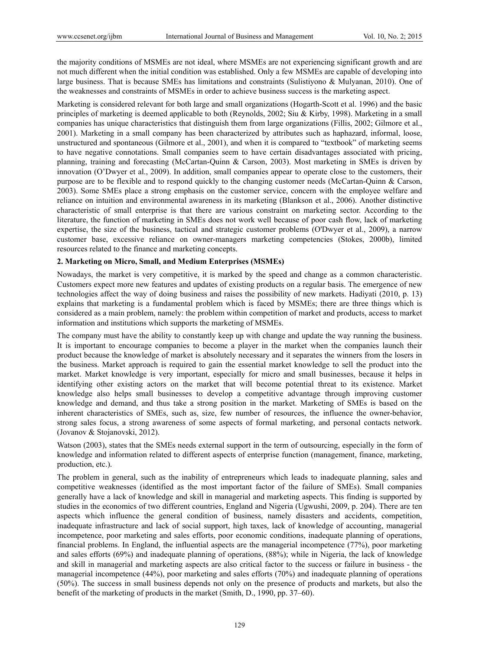the majority conditions of MSMEs are not ideal, where MSMEs are not experiencing significant growth and are not much different when the initial condition was established. Only a few MSMEs are capable of developing into large business. That is because SMEs has limitations and constraints (Sulistiyono & Mulyanan, 2010). One of the weaknesses and constraints of MSMEs in order to achieve business success is the marketing aspect.

Marketing is considered relevant for both large and small organizations (Hogarth-Scott et al. 1996) and the basic principles of marketing is deemed applicable to both (Reynolds, 2002; Siu & Kirby, 1998). Marketing in a small companies has unique characteristics that distinguish them from large organizations (Fillis, 2002; Gilmore et al., 2001). Marketing in a small company has been characterized by attributes such as haphazard, informal, loose, unstructured and spontaneous (Gilmore et al., 2001), and when it is compared to "textbook" of marketing seems to have negative connotations. Small companies seem to have certain disadvantages associated with pricing, planning, training and forecasting (McCartan-Quinn & Carson, 2003). Most marketing in SMEs is driven by innovation (O'Dwyer et al., 2009). In addition, small companies appear to operate close to the customers, their purpose are to be flexible and to respond quickly to the changing customer needs (McCartan-Quinn & Carson, 2003). Some SMEs place a strong emphasis on the customer service, concern with the employee welfare and reliance on intuition and environmental awareness in its marketing (Blankson et al., 2006). Another distinctive characteristic of small enterprise is that there are various constraint on marketing sector. According to the literature, the function of marketing in SMEs does not work well because of poor cash flow, lack of marketing expertise, the size of the business, tactical and strategic customer problems (O'Dwyer et al., 2009), a narrow customer base, excessive reliance on owner-managers marketing competencies (Stokes, 2000b), limited resources related to the finance and marketing concepts.

#### **2. Marketing on Micro, Small, and Medium Enterprises (MSMEs)**

Nowadays, the market is very competitive, it is marked by the speed and change as a common characteristic. Customers expect more new features and updates of existing products on a regular basis. The emergence of new technologies affect the way of doing business and raises the possibility of new markets. Hadiyati (2010, p. 13) explains that marketing is a fundamental problem which is faced by MSMEs; there are three things which is considered as a main problem, namely: the problem within competition of market and products, access to market information and institutions which supports the marketing of MSMEs.

The company must have the ability to constantly keep up with change and update the way running the business. It is important to encourage companies to become a player in the market when the companies launch their product because the knowledge of market is absolutely necessary and it separates the winners from the losers in the business. Market approach is required to gain the essential market knowledge to sell the product into the market. Market knowledge is very important, especially for micro and small businesses, because it helps in identifying other existing actors on the market that will become potential threat to its existence. Market knowledge also helps small businesses to develop a competitive advantage through improving customer knowledge and demand, and thus take a strong position in the market. Marketing of SMEs is based on the inherent characteristics of SMEs, such as, size, few number of resources, the influence the owner-behavior, strong sales focus, a strong awareness of some aspects of formal marketing, and personal contacts network. (Jovanov & Stojanovski, 2012).

Watson (2003), states that the SMEs needs external support in the term of outsourcing, especially in the form of knowledge and information related to different aspects of enterprise function (management, finance, marketing, production, etc.).

The problem in general, such as the inability of entrepreneurs which leads to inadequate planning, sales and competitive weaknesses (identified as the most important factor of the failure of SMEs). Small companies generally have a lack of knowledge and skill in managerial and marketing aspects. This finding is supported by studies in the economics of two different countries, England and Nigeria (Ugwushi, 2009, p. 204). There are ten aspects which influence the general condition of business, namely disasters and accidents, competition, inadequate infrastructure and lack of social support, high taxes, lack of knowledge of accounting, managerial incompetence, poor marketing and sales efforts, poor economic conditions, inadequate planning of operations, financial problems. In England, the influential aspects are the managerial incompetence (77%), poor marketing and sales efforts (69%) and inadequate planning of operations, (88%); while in Nigeria, the lack of knowledge and skill in managerial and marketing aspects are also critical factor to the success or failure in business - the managerial incompetence (44%), poor marketing and sales efforts (70%) and inadequate planning of operations (50%). The success in small business depends not only on the presence of products and markets, but also the benefit of the marketing of products in the market (Smith, D., 1990, pp. 37–60).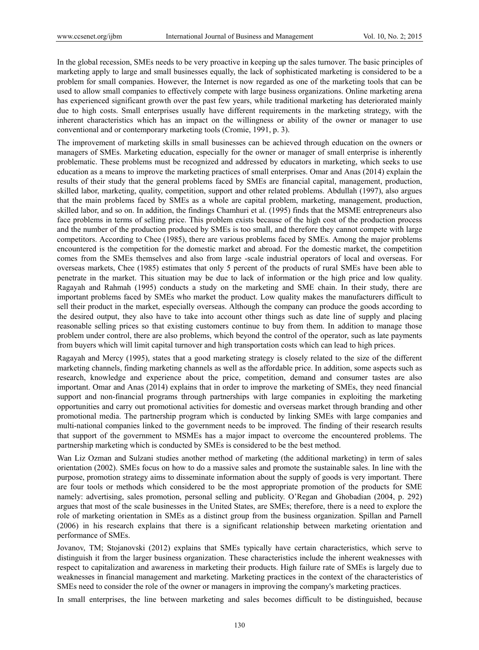In the global recession, SMEs needs to be very proactive in keeping up the sales turnover. The basic principles of marketing apply to large and small businesses equally, the lack of sophisticated marketing is considered to be a problem for small companies. However, the Internet is now regarded as one of the marketing tools that can be used to allow small companies to effectively compete with large business organizations. Online marketing arena has experienced significant growth over the past few years, while traditional marketing has deteriorated mainly due to high costs. Small enterprises usually have different requirements in the marketing strategy, with the inherent characteristics which has an impact on the willingness or ability of the owner or manager to use conventional and or contemporary marketing tools (Cromie, 1991, p. 3).

The improvement of marketing skills in small businesses can be achieved through education on the owners or managers of SMEs. Marketing education, especially for the owner or manager of small enterprise is inherently problematic. These problems must be recognized and addressed by educators in marketing, which seeks to use education as a means to improve the marketing practices of small enterprises. Omar and Anas (2014) explain the results of their study that the general problems faced by SMEs are financial capital, management, production, skilled labor, marketing, quality, competition, support and other related problems. Abdullah (1997), also argues that the main problems faced by SMEs as a whole are capital problem, marketing, management, production, skilled labor, and so on. In addition, the findings Chamhuri et al. (1995) finds that the MSME entrepreneurs also face problems in terms of selling price. This problem exists because of the high cost of the production process and the number of the production produced by SMEs is too small, and therefore they cannot compete with large competitors. According to Chee (1985), there are various problems faced by SMEs. Among the major problems encountered is the competition for the domestic market and abroad. For the domestic market, the competition comes from the SMEs themselves and also from large -scale industrial operators of local and overseas. For overseas markets, Chee (1985) estimates that only 5 percent of the products of rural SMEs have been able to penetrate in the market. This situation may be due to lack of information or the high price and low quality. Ragayah and Rahmah (1995) conducts a study on the marketing and SME chain. In their study, there are important problems faced by SMEs who market the product. Low quality makes the manufacturers difficult to sell their product in the market, especially overseas. Although the company can produce the goods according to the desired output, they also have to take into account other things such as date line of supply and placing reasonable selling prices so that existing customers continue to buy from them. In addition to manage those problem under control, there are also problems, which beyond the control of the operator, such as late payments from buyers which will limit capital turnover and high transportation costs which can lead to high prices.

Ragayah and Mercy (1995), states that a good marketing strategy is closely related to the size of the different marketing channels, finding marketing channels as well as the affordable price. In addition, some aspects such as research, knowledge and experience about the price, competition, demand and consumer tastes are also important. Omar and Anas (2014) explains that in order to improve the marketing of SMEs, they need financial support and non-financial programs through partnerships with large companies in exploiting the marketing opportunities and carry out promotional activities for domestic and overseas market through branding and other promotional media. The partnership program which is conducted by linking SMEs with large companies and multi-national companies linked to the government needs to be improved. The finding of their research results that support of the government to MSMEs has a major impact to overcome the encountered problems. The partnership marketing which is conducted by SMEs is considered to be the best method.

Wan Liz Ozman and Sulzani studies another method of marketing (the additional marketing) in term of sales orientation (2002). SMEs focus on how to do a massive sales and promote the sustainable sales. In line with the purpose, promotion strategy aims to disseminate information about the supply of goods is very important. There are four tools or methods which considered to be the most appropriate promotion of the products for SME namely: advertising, sales promotion, personal selling and publicity. O'Regan and Ghobadian (2004, p. 292) argues that most of the scale businesses in the United States, are SMEs; therefore, there is a need to explore the role of marketing orientation in SMEs as a distinct group from the business organization. Spillan and Parnell (2006) in his research explains that there is a significant relationship between marketing orientation and performance of SMEs.

Jovanov, TM; Stojanovski (2012) explains that SMEs typically have certain characteristics, which serve to distinguish it from the larger business organization. These characteristics include the inherent weaknesses with respect to capitalization and awareness in marketing their products. High failure rate of SMEs is largely due to weaknesses in financial management and marketing. Marketing practices in the context of the characteristics of SMEs need to consider the role of the owner or managers in improving the company's marketing practices.

In small enterprises, the line between marketing and sales becomes difficult to be distinguished, because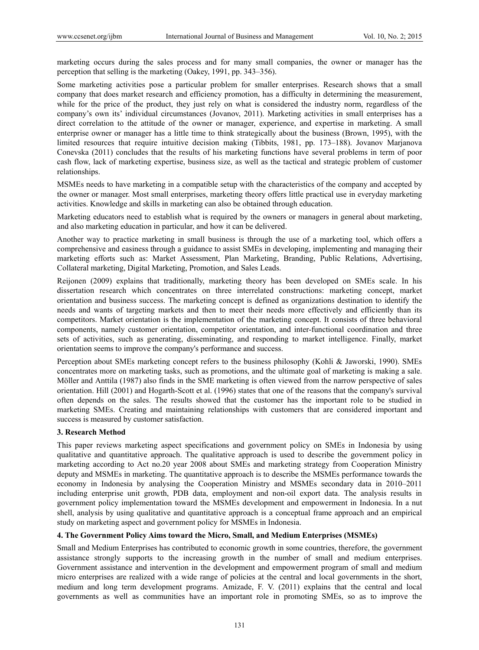marketing occurs during the sales process and for many small companies, the owner or manager has the perception that selling is the marketing (Oakey, 1991, pp. 343–356).

Some marketing activities pose a particular problem for smaller enterprises. Research shows that a small company that does market research and efficiency promotion, has a difficulty in determining the measurement, while for the price of the product, they just rely on what is considered the industry norm, regardless of the company's own its' individual circumstances (Jovanov, 2011). Marketing activities in small enterprises has a direct correlation to the attitude of the owner or manager, experience, and expertise in marketing. A small enterprise owner or manager has a little time to think strategically about the business (Brown, 1995), with the limited resources that require intuitive decision making (Tibbits, 1981, pp. 173–188). Jovanov Marjanova Conevska (2011) concludes that the results of his marketing functions have several problems in term of poor cash flow, lack of marketing expertise, business size, as well as the tactical and strategic problem of customer relationships.

MSMEs needs to have marketing in a compatible setup with the characteristics of the company and accepted by the owner or manager. Most small enterprises, marketing theory offers little practical use in everyday marketing activities. Knowledge and skills in marketing can also be obtained through education.

Marketing educators need to establish what is required by the owners or managers in general about marketing, and also marketing education in particular, and how it can be delivered.

Another way to practice marketing in small business is through the use of a marketing tool, which offers a comprehensive and easiness through a guidance to assist SMEs in developing, implementing and managing their marketing efforts such as: Market Assessment, Plan Marketing, Branding, Public Relations, Advertising, Collateral marketing, Digital Marketing, Promotion, and Sales Leads.

Reijonen (2009) explains that traditionally, marketing theory has been developed on SMEs scale. In his dissertation research which concentrates on three interrelated constructions: marketing concept, market orientation and business success. The marketing concept is defined as organizations destination to identify the needs and wants of targeting markets and then to meet their needs more effectively and efficiently than its competitors. Market orientation is the implementation of the marketing concept. It consists of three behavioral components, namely customer orientation, competitor orientation, and inter-functional coordination and three sets of activities, such as generating, disseminating, and responding to market intelligence. Finally, market orientation seems to improve the company's performance and success.

Perception about SMEs marketing concept refers to the business philosophy (Kohli & Jaworski, 1990). SMEs concentrates more on marketing tasks, such as promotions, and the ultimate goal of marketing is making a sale. Möller and Anttila (1987) also finds in the SME marketing is often viewed from the narrow perspective of sales orientation. Hill (2001) and Hogarth-Scott et al. (1996) states that one of the reasons that the company's survival often depends on the sales. The results showed that the customer has the important role to be studied in marketing SMEs. Creating and maintaining relationships with customers that are considered important and success is measured by customer satisfaction.

#### **3. Research Method**

This paper reviews marketing aspect specifications and government policy on SMEs in Indonesia by using qualitative and quantitative approach. The qualitative approach is used to describe the government policy in marketing according to Act no.20 year 2008 about SMEs and marketing strategy from Cooperation Ministry deputy and MSMEs in marketing. The quantitative approach is to describe the MSMEs performance towards the economy in Indonesia by analysing the Cooperation Ministry and MSMEs secondary data in 2010–2011 including enterprise unit growth, PDB data, employment and non-oil export data. The analysis results in government policy implementation toward the MSMEs development and empowerment in Indonesia. In a nut shell, analysis by using qualitative and quantitative approach is a conceptual frame approach and an empirical study on marketing aspect and government policy for MSMEs in Indonesia.

#### **4. The Government Policy Aims toward the Micro, Small, and Medium Enterprises (MSMEs)**

Small and Medium Enterprises has contributed to economic growth in some countries, therefore, the government assistance strongly supports to the increasing growth in the number of small and medium enterprises. Government assistance and intervention in the development and empowerment program of small and medium micro enterprises are realized with a wide range of policies at the central and local governments in the short, medium and long term development programs. Amizade, F. V. (2011) explains that the central and local governments as well as communities have an important role in promoting SMEs, so as to improve the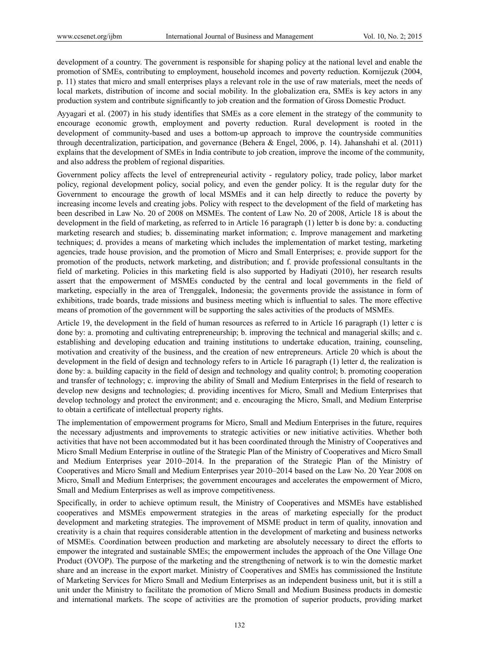development of a country. The government is responsible for shaping policy at the national level and enable the promotion of SMEs, contributing to employment, household incomes and poverty reduction. Kornijezuk (2004, p. 11) states that micro and small enterprises plays a relevant role in the use of raw materials, meet the needs of local markets, distribution of income and social mobility. In the globalization era, SMEs is key actors in any production system and contribute significantly to job creation and the formation of Gross Domestic Product.

Ayyagari et al. (2007) in his study identifies that SMEs as a core element in the strategy of the community to encourage economic growth, employment and poverty reduction. Rural development is rooted in the development of community-based and uses a bottom-up approach to improve the countryside communities through decentralization, participation, and governance (Behera & Engel, 2006, p. 14). Jahanshahi et al. (2011) explains that the development of SMEs in India contribute to job creation, improve the income of the community, and also address the problem of regional disparities.

Government policy affects the level of entrepreneurial activity - regulatory policy, trade policy, labor market policy, regional development policy, social policy, and even the gender policy. It is the regular duty for the Government to encourage the growth of local MSMEs and it can help directly to reduce the poverty by increasing income levels and creating jobs. Policy with respect to the development of the field of marketing has been described in Law No. 20 of 2008 on MSMEs. The content of Law No. 20 of 2008, Article 18 is about the development in the field of marketing, as referred to in Article 16 paragraph (1) letter b is done by: a. conducting marketing research and studies; b. disseminating market information; c. Improve management and marketing techniques; d. provides a means of marketing which includes the implementation of market testing, marketing agencies, trade house provision, and the promotion of Micro and Small Enterprises; e. provide support for the promotion of the products, network marketing, and distribution; and f. provide professional consultants in the field of marketing. Policies in this marketing field is also supported by Hadiyati (2010), her research results assert that the empowerment of MSMEs conducted by the central and local governments in the field of marketing, especially in the area of Trenggalek, Indonesia; the goverments provide the assistance in form of exhibitions, trade boards, trade missions and business meeting which is influential to sales. The more effective means of promotion of the government will be supporting the sales activities of the products of MSMEs.

Article 19, the development in the field of human resources as referred to in Article 16 paragraph (1) letter c is done by: a. promoting and cultivating entrepreneurship; b. improving the technical and managerial skills; and c. establishing and developing education and training institutions to undertake education, training, counseling, motivation and creativity of the business, and the creation of new entrepreneurs. Article 20 which is about the development in the field of design and technology refers to in Article 16 paragraph (1) letter d, the realization is done by: a. building capacity in the field of design and technology and quality control; b. promoting cooperation and transfer of technology; c. improving the ability of Small and Medium Enterprises in the field of research to develop new designs and technologies; d. providing incentives for Micro, Small and Medium Enterprises that develop technology and protect the environment; and e. encouraging the Micro, Small, and Medium Enterprise to obtain a certificate of intellectual property rights.

The implementation of empowerment programs for Micro, Small and Medium Enterprises in the future, requires the necessary adjustments and improvements to strategic activities or new initiative activities. Whether both activities that have not been accommodated but it has been coordinated through the Ministry of Cooperatives and Micro Small Medium Enterprise in outline of the Strategic Plan of the Ministry of Cooperatives and Micro Small and Medium Enterprises year 2010–2014. In the preparation of the Strategic Plan of the Ministry of Cooperatives and Micro Small and Medium Enterprises year 2010–2014 based on the Law No. 20 Year 2008 on Micro, Small and Medium Enterprises; the government encourages and accelerates the empowerment of Micro, Small and Medium Enterprises as well as improve competitiveness.

Specifically, in order to achieve optimum result, the Ministry of Cooperatives and MSMEs have established cooperatives and MSMEs empowerment strategies in the areas of marketing especially for the product development and marketing strategies. The improvement of MSME product in term of quality, innovation and creativity is a chain that requires considerable attention in the development of marketing and business networks of MSMEs. Coordination between production and marketing are absolutely necessary to direct the efforts to empower the integrated and sustainable SMEs; the empowerment includes the approach of the One Village One Product (OVOP). The purpose of the marketing and the strengthening of network is to win the domestic market share and an increase in the export market. Ministry of Cooperatives and SMEs has commissioned the Institute of Marketing Services for Micro Small and Medium Enterprises as an independent business unit, but it is still a unit under the Ministry to facilitate the promotion of Micro Small and Medium Business products in domestic and international markets. The scope of activities are the promotion of superior products, providing market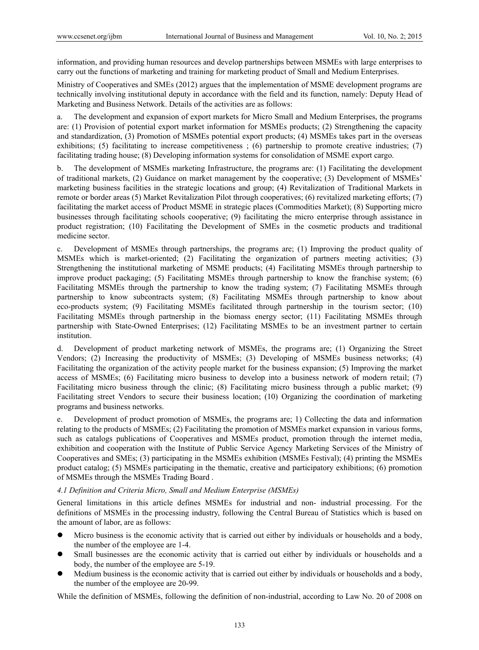information, and providing human resources and develop partnerships between MSMEs with large enterprises to carry out the functions of marketing and training for marketing product of Small and Medium Enterprises.

Ministry of Cooperatives and SMEs (2012) argues that the implementation of MSME development programs are technically involving institutional deputy in accordance with the field and its function, namely: Deputy Head of Marketing and Business Network. Details of the activities are as follows:

a. The development and expansion of export markets for Micro Small and Medium Enterprises, the programs are: (1) Provision of potential export market information for MSMEs products; (2) Strengthening the capacity and standardization, (3) Promotion of MSMEs potential export products; (4) MSMEs takes part in the overseas exhibitions; (5) facilitating to increase competitiveness ; (6) partnership to promote creative industries; (7) facilitating trading house; (8) Developing information systems for consolidation of MSME export cargo.

b. The development of MSMEs marketing Infrastructure, the programs are: (1) Facilitating the development of traditional markets, (2) Guidance on market management by the cooperative; (3) Development of MSMEs' marketing business facilities in the strategic locations and group; (4) Revitalization of Traditional Markets in remote or border areas (5) Market Revitalization Pilot through cooperatives; (6) revitalized marketing efforts; (7) facilitating the market access of Product MSME in strategic places (Commodities Market); (8) Supporting micro businesses through facilitating schools cooperative; (9) facilitating the micro enterprise through assistance in product registration; (10) Facilitating the Development of SMEs in the cosmetic products and traditional medicine sector.

c. Development of MSMEs through partnerships, the programs are; (1) Improving the product quality of MSMEs which is market-oriented; (2) Facilitating the organization of partners meeting activities; (3) Strengthening the institutional marketing of MSME products; (4) Facilitating MSMEs through partnership to improve product packaging; (5) Facilitating MSMEs through partnership to know the franchise system; (6) Facilitating MSMEs through the partnership to know the trading system; (7) Facilitating MSMEs through partnership to know subcontracts system; (8) Facilitating MSMEs through partnership to know about eco-products system; (9) Facilitating MSMEs facilitated through partnership in the tourism sector; (10) Facilitating MSMEs through partnership in the biomass energy sector; (11) Facilitating MSMEs through partnership with State-Owned Enterprises; (12) Facilitating MSMEs to be an investment partner to certain institution.

d. Development of product marketing network of MSMEs, the programs are; (1) Organizing the Street Vendors; (2) Increasing the productivity of MSMEs; (3) Developing of MSMEs business networks; (4) Facilitating the organization of the activity people market for the business expansion; (5) Improving the market access of MSMEs; (6) Facilitating micro business to develop into a business network of modern retail; (7) Facilitating micro business through the clinic; (8) Facilitating micro business through a public market; (9) Facilitating street Vendors to secure their business location; (10) Organizing the coordination of marketing programs and business networks.

e. Development of product promotion of MSMEs, the programs are; 1) Collecting the data and information relating to the products of MSMEs; (2) Facilitating the promotion of MSMEs market expansion in various forms, such as catalogs publications of Cooperatives and MSMEs product, promotion through the internet media, exhibition and cooperation with the Institute of Public Service Agency Marketing Services of the Ministry of Cooperatives and SMEs; (3) participating in the MSMEs exhibition (MSMEs Festival); (4) printing the MSMEs product catalog; (5) MSMEs participating in the thematic, creative and participatory exhibitions; (6) promotion of MSMEs through the MSMEs Trading Board .

## *4.1 Definition and Criteria Micro, Small and Medium Enterprise (MSMEs)*

General limitations in this article defines MSMEs for industrial and non- industrial processing. For the definitions of MSMEs in the processing industry, following the Central Bureau of Statistics which is based on the amount of labor, are as follows:

- Micro business is the economic activity that is carried out either by individuals or households and a body, the number of the employee are 1-4.
- Small businesses are the economic activity that is carried out either by individuals or households and a body, the number of the employee are 5-19.
- Medium business is the economic activity that is carried out either by individuals or households and a body, the number of the employee are 20-99.

While the definition of MSMEs, following the definition of non-industrial, according to Law No. 20 of 2008 on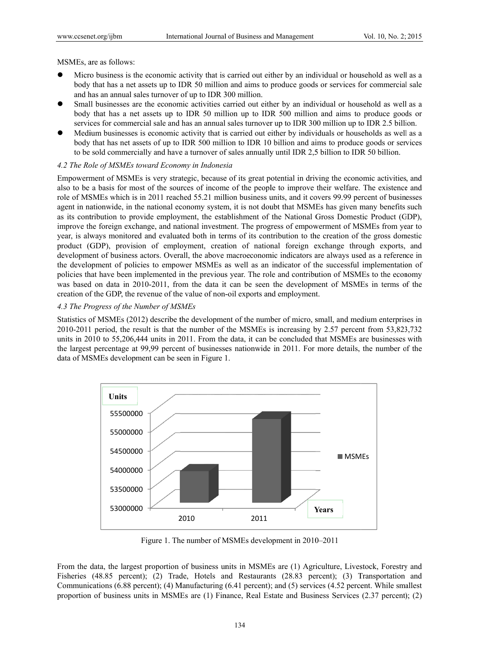MSMEs, are as follows:

- Micro business is the economic activity that is carried out either by an individual or household as well as a body that has a net assets up to IDR 50 million and aims to produce goods or services for commercial sale and has an annual sales turnover of up to IDR 300 million.
- Small businesses are the economic activities carried out either by an individual or household as well as a body that has a net assets up to IDR 50 million up to IDR 500 million and aims to produce goods or services for commercial sale and has an annual sales turnover up to IDR 300 million up to IDR 2.5 billion.
- Medium businesses is economic activity that is carried out either by individuals or households as well as a body that has net assets of up to IDR 500 million to IDR 10 billion and aims to produce goods or services to be sold commercially and have a turnover of sales annually until IDR 2,5 billion to IDR 50 billion.

## 4.2 The Role of MSMEs toward Economy in Indonesia

Empowerment of MSMEs is very strategic, because of its great potential in driving the economic activities, and also to be a basis for most of the sources of income of the people to improve their welfare. The existence and role of MSMEs which is in 2011 reached 55.21 million business units, and it covers 99.99 percent of businesses agent in nationwide, in the national economy system, it is not doubt that MSMEs has given many benefits such as its contribution to provide employment, the establishment of the National Gross Domestic Product (GDP), improve the foreign exchange, and national investment. The progress of empowerment of MSMEs from year to year, is always monitored and evaluated both in terms of its contribution to the creation of the gross domestic product (GDP), provision of employment, creation of national foreign exchange through exports, and development of business actors. Overall, the above macroeconomic indicators are always used as a reference in the development of policies to empower MSMEs as well as an indicator of the successful implementation of policies that have been implemented in the previous year. The role and contribution of MSMEs to the economy was based on data in 2010-2011, from the data it can be seen the development of MSMEs in terms of the creation of the GDP, the revenue of the value of non-oil exports and employment.

## 4.3 The Progress of the Number of MSMEs

Statistics of MSMEs (2012) describe the development of the number of micro, small, and medium enterprises in  $2010-2011$  period, the result is that the number of the MSMEs is increasing by 2.57 percent from 53,823,732 units in 2010 to 55,206,444 units in 2011. From the data, it can be concluded that MSMEs are businesses with the largest percentage at 99,99 percent of businesses nationwide in 2011. For more details, the number of the data of MSMEs development can be seen in Figure 1.



Figure 1. The number of MSMEs development in 2010–2011

From the data, the largest proportion of business units in MSMEs are (1) Agriculture, Livestock, Forestry and Fisheries (48.85 percent); (2) Trade, Hotels and Restaurants (28.83 percent); (3) Transportation and Communications (6.88 percent); (4) Manufacturing (6.41 percent); and (5) services (4.52 percent. While smallest proportion of business units in MSMEs are (1) Finance, Real Estate and Business Services (2.37 percent); (2)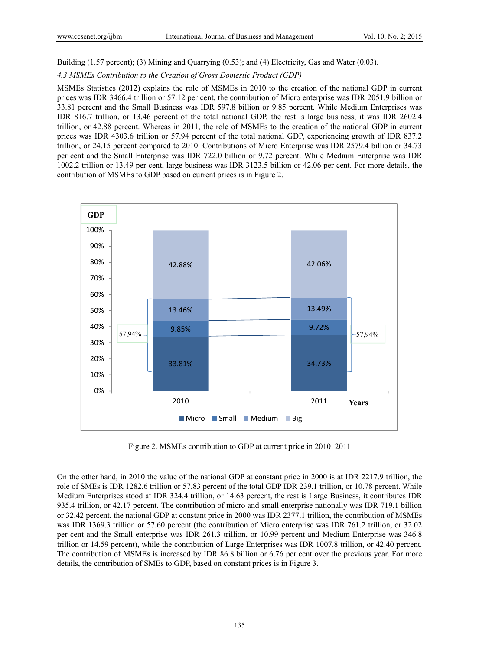Building (1.57 percent); (3) Mining and Quarrying (0.53); and (4) Electricity, Gas and Water (0.03).

*4.3 MSMEs Contribution to the Creation of Gross Domestic Product (GDP)* 

MSMEs Statistics (2012) explains the role of MSMEs in 2010 to the creation of the national GDP in current prices was IDR 3466.4 trillion or 57.12 per cent, the contribution of Micro enterprise was IDR 2051.9 billion or 33.81 percent and the Small Business was IDR 597.8 billion or 9.85 percent. While Medium Enterprises was IDR 816.7 trillion, or 13.46 percent of the total national GDP, the rest is large business, it was IDR 2602.4 trillion, or 42.88 percent. Whereas in 2011, the role of MSMEs to the creation of the national GDP in current prices was IDR 4303.6 trillion or 57.94 percent of the total national GDP, experiencing growth of IDR 837.2 trillion, or 24.15 percent compared to 2010. Contributions of Micro Enterprise was IDR 2579.4 billion or 34.73 per cent and the Small Enterprise was IDR 722.0 billion or 9.72 percent. While Medium Enterprise was IDR 1002.2 trillion or 13.49 per cent, large business was IDR 3123.5 billion or 42.06 per cent. For more details, the contribution of MSMEs to GDP based on current prices is in Figure 2.



Figure 2. MSMEs contribution to GDP at current price in 2010–2011

On the other hand, in 2010 the value of the national GDP at constant price in 2000 is at IDR 2217.9 trillion, the role of SMEs is IDR 1282.6 trillion or 57.83 percent of the total GDP IDR 239.1 trillion, or 10.78 percent. While Medium Enterprises stood at IDR 324.4 trillion, or 14.63 percent, the rest is Large Business, it contributes IDR 935.4 trillion, or 42.17 percent. The contribution of micro and small enterprise nationally was IDR 719.1 billion or 32.42 percent, the national GDP at constant price in 2000 was IDR 2377.1 trillion, the contribution of MSMEs was IDR 1369.3 trillion or 57.60 percent (the contribution of Micro enterprise was IDR 761.2 trillion, or 32.02 per cent and the Small enterprise was IDR 261.3 trillion, or 10.99 percent and Medium Enterprise was 346.8 trillion or 14.59 percent), while the contribution of Large Enterprises was IDR 1007.8 trillion, or 42.40 percent. The contribution of MSMEs is increased by IDR 86.8 billion or 6.76 per cent over the previous year. For more details, the contribution of SMEs to GDP, based on constant prices is in Figure 3.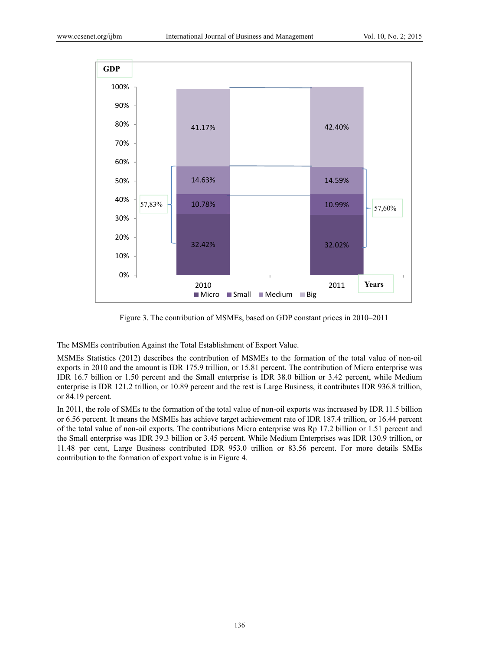

Figure 3. The contribution of MSMEs, based on GDP constant prices in 2010–2011

The MSMEs contribution Against the Total Establishment of Export Value.

MSMEs Statistics (2012) describes the contribution of MSMEs to the formation of the total value of non-oil exports in 2010 and the amount is IDR 175.9 trillion, or 15.81 percent. The contribution of Micro enterprise was IDR 16.7 billion or 1.50 percent and the Small enterprise is IDR 38.0 billion or 3.42 percent, while Medium enterprise is IDR 121.2 trillion, or 10.89 percent and the rest is Large Business, it contributes IDR 936.8 trillion, or 84.19 percent.

In 2011, the role of SMEs to the formation of the total value of non-oil exports was increased by IDR 11.5 billion or 6.56 percent. It means the MSMEs has achieve target achievement rate of IDR 187.4 trillion, or 16.44 percent of the total value of non-oil exports. The contributions Micro enterprise was Rp 17.2 billion or 1.51 percent and the Small enterprise was IDR 39.3 billion or 3.45 percent. While Medium Enterprises was IDR 130.9 trillion, or 11.48 per cent, Large Business contributed IDR 953.0 trillion or 83.56 percent. For more details SMEs contribution to the formation of export value is in Figure 4.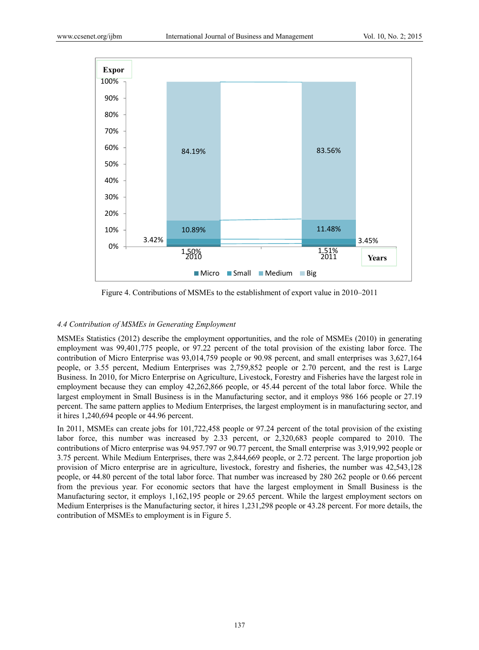

Figure 4. Contributions of MSMEs to the establishment of export value in 2010–2011

## *4.4 Contribution of MSMEs in Generating Employment*

MSMEs Statistics (2012) describe the employment opportunities, and the role of MSMEs (2010) in generating employment was 99,401,775 people, or 97.22 percent of the total provision of the existing labor force. The contribution of Micro Enterprise was 93,014,759 people or 90.98 percent, and small enterprises was 3,627,164 people, or 3.55 percent, Medium Enterprises was 2,759,852 people or 2.70 percent, and the rest is Large Business. In 2010, for Micro Enterprise on Agriculture, Livestock, Forestry and Fisheries have the largest role in employment because they can employ 42,262,866 people, or 45.44 percent of the total labor force. While the largest employment in Small Business is in the Manufacturing sector, and it employs 986 166 people or 27.19 percent. The same pattern applies to Medium Enterprises, the largest employment is in manufacturing sector, and it hires 1,240,694 people or 44.96 percent.

In 2011, MSMEs can create jobs for 101,722,458 people or 97.24 percent of the total provision of the existing labor force, this number was increased by 2.33 percent, or 2,320,683 people compared to 2010. The contributions of Micro enterprise was 94.957.797 or 90.77 percent, the Small enterprise was 3,919,992 people or 3.75 percent. While Medium Enterprises, there was 2,844,669 people, or 2.72 percent. The large proportion job provision of Micro enterprise are in agriculture, livestock, forestry and fisheries, the number was 42,543,128 people, or 44.80 percent of the total labor force. That number was increased by 280 262 people or 0.66 percent from the previous year. For economic sectors that have the largest employment in Small Business is the Manufacturing sector, it employs 1,162,195 people or 29.65 percent. While the largest employment sectors on Medium Enterprises is the Manufacturing sector, it hires 1,231,298 people or 43.28 percent. For more details, the contribution of MSMEs to employment is in Figure 5.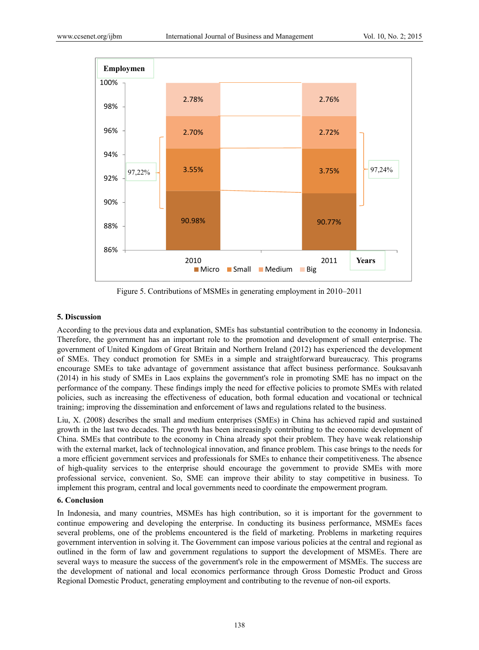

Figure 5. Contributions of MSMEs in generating employment in 2010–2011

#### **5. Discussion**

According to the previous data and explanation, SMEs has substantial contribution to the economy in Indonesia. Therefore, the government has an important role to the promotion and development of small enterprise. The government of United Kingdom of Great Britain and Northern Ireland (2012) has experienced the development of SMEs. They conduct promotion for SMEs in a simple and straightforward bureaucracy. This programs encourage SMEs to take advantage of government assistance that affect business performance. Souksavanh (2014) in his study of SMEs in Laos explains the government's role in promoting SME has no impact on the performance of the company. These findings imply the need for effective policies to promote SMEs with related policies, such as increasing the effectiveness of education, both formal education and vocational or technical training; improving the dissemination and enforcement of laws and regulations related to the business.

Liu, X. (2008) describes the small and medium enterprises (SMEs) in China has achieved rapid and sustained growth in the last two decades. The growth has been increasingly contributing to the economic development of China. SMEs that contribute to the economy in China already spot their problem. They have weak relationship with the external market, lack of technological innovation, and finance problem. This case brings to the needs for a more efficient government services and professionals for SMEs to enhance their competitiveness. The absence of high-quality services to the enterprise should encourage the government to provide SMEs with more professional service, convenient. So, SME can improve their ability to stay competitive in business. To implement this program, central and local governments need to coordinate the empowerment program.

### **6. Conclusion**

In Indonesia, and many countries, MSMEs has high contribution, so it is important for the government to continue empowering and developing the enterprise. In conducting its business performance, MSMEs faces several problems, one of the problems encountered is the field of marketing. Problems in marketing requires government intervention in solving it. The Government can impose various policies at the central and regional as outlined in the form of law and government regulations to support the development of MSMEs. There are several ways to measure the success of the government's role in the empowerment of MSMEs. The success are the development of national and local economics performance through Gross Domestic Product and Gross Regional Domestic Product, generating employment and contributing to the revenue of non-oil exports.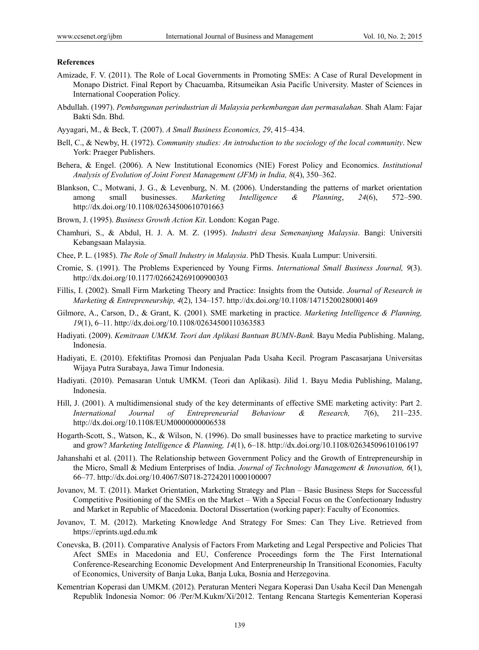#### **References**

- Amizade, F. V. (2011). The Role of Local Governments in Promoting SMEs: A Case of Rural Development in Monapo District. Final Report by Chacuamba, Ritsumeikan Asia Pacific University. Master of Sciences in International Cooperation Policy.
- Abdullah. (1997). *Pembangunan perindustrian di Malaysia perkembangan dan permasalahan.* Shah Alam: Fajar Bakti Sdn. Bhd.
- Ayyagari, M., & Beck, T. (2007). *A Small Business Economics, 29*, 415–434.
- Bell, C., & Newby, H. (1972). *Community studies: An introduction to the sociology of the local community*. New York: Praeger Publishers.
- Behera, & Engel. (2006). A New Institutional Economics (NIE) Forest Policy and Economics. *Institutional Analysis of Evolution of Joint Forest Management (JFM) in India, 8*(4), 350–362.
- Blankson, C., Motwani, J. G., & Levenburg, N. M. (2006). Understanding the patterns of market orientation among small businesses. *Marketing Intelligence & Planning*, *24*(6), 572–590. http://dx.doi.org/10.1108/02634500610701663
- Brown, J. (1995). *Business Growth Action Kit*. London: Kogan Page.
- Chamhuri, S., & Abdul, H. J. A. M. Z. (1995). *Industri desa Semenanjung Malaysia*. Bangi: Universiti Kebangsaan Malaysia.
- Chee, P. L. (1985). *The Role of Small Industry in Malaysia*. PhD Thesis. Kuala Lumpur: Universiti.
- Cromie, S. (1991). The Problems Experienced by Young Firms. *International Small Business Journal, 9*(3). http://dx.doi.org/10.1177/026624269100900303
- Fillis, I. (2002). Small Firm Marketing Theory and Practice: Insights from the Outside. *Journal of Research in Marketing & Entrepreneurship, 4*(2), 134–157. http://dx.doi.org/10.1108/14715200280001469
- Gilmore, A., Carson, D., & Grant, K. (2001). SME marketing in practice. *Marketing Intelligence & Planning, 19*(1), 6–11. http://dx.doi.org/10.1108/02634500110363583
- Hadiyati. (2009). *Kemitraan UMKM. Teori dan Aplikasi Bantuan BUMN-Bank.* Bayu Media Publishing. Malang, Indonesia.
- Hadiyati, E. (2010). Efektifitas Promosi dan Penjualan Pada Usaha Kecil. Program Pascasarjana Universitas Wijaya Putra Surabaya, Jawa Timur Indonesia.
- Hadiyati. (2010). Pemasaran Untuk UMKM. (Teori dan Aplikasi). Jilid 1. Bayu Media Publishing, Malang, Indonesia.
- Hill, J. (2001). A multidimensional study of the key determinants of effective SME marketing activity: Part 2. *International Journal of Entrepreneurial Behaviour & Research, 7*(6), 211–235. http://dx.doi.org/10.1108/EUM0000000006538
- Hogarth-Scott, S., Watson, K., & Wilson, N. (1996). Do small businesses have to practice marketing to survive and grow? *Marketing Intelligence & Planning, 14*(1), 6–18. http://dx.doi.org/10.1108/02634509610106197
- Jahanshahi et al. (2011). The Relationship between Government Policy and the Growth of Entrepreneurship in the Micro, Small & Medium Enterprises of India. *Journal of Technology Management & Innovation, 6*(1), 66–77. http://dx.doi.org/10.4067/S0718-27242011000100007
- Jovanov, M. T. (2011). Market Orientation, Marketing Strategy and Plan Basic Business Steps for Successful Competitive Positioning of the SMEs on the Market – With a Special Focus on the Confectionary Industry and Market in Republic of Macedonia. Doctoral Dissertation (working paper): Faculty of Economics.
- Jovanov, T. M. (2012). Marketing Knowledge And Strategy For Smes: Can They Live. Retrieved from https://eprints.ugd.edu.mk
- Conevska, B. (2011). Comparative Analysis of Factors From Marketing and Legal Perspective and Policies That Afect SMEs in Macedonia and EU, Conference Proceedings form the The First International Conference-Researching Economic Development And Enterpreneurship In Transitional Economies, Faculty of Economics, University of Banja Luka, Banja Luka, Bosnia and Herzegovina.
- Kementrian Koperasi dan UMKM. (2012). Peraturan Menteri Negara Koperasi Dan Usaha Kecil Dan Menengah Republik Indonesia Nomor: 06 /Per/M.Kukm/Xi/2012. Tentang Rencana Startegis Kementerian Koperasi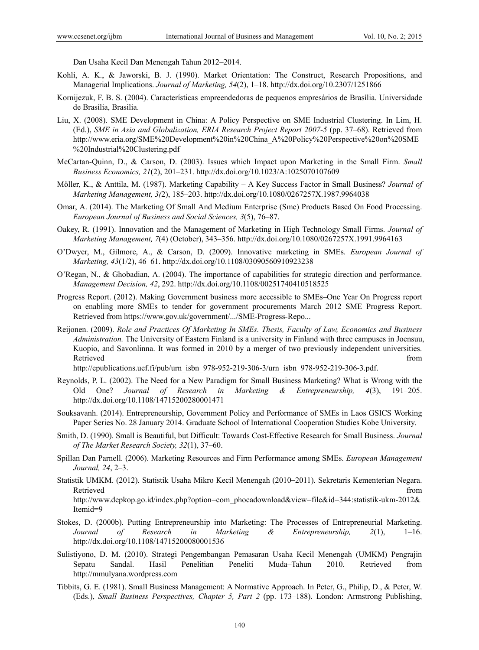Dan Usaha Kecil Dan Menengah Tahun 2012–2014.

- Kohli, A. K., & Jaworski, B. J. (1990). Market Orientation: The Construct, Research Propositions, and Managerial Implications. *Journal of Marketing, 54*(2), 1–18. http://dx.doi.org/10.2307/1251866
- Kornijezuk, F. B. S. (2004). Características empreendedoras de pequenos empresários de Brasília. Universidade de Brasília, Brasilia.
- Liu, X. (2008). SME Development in China: A Policy Perspective on SME Industrial Clustering. In Lim, H. (Ed.), *SME in Asia and Globalization, ERIA Research Project Report 2007-5* (pp. 37–68). Retrieved from http://www.eria.org/SME%20Development%20in%20China\_A%20Policy%20Perspective%20on%20SME %20Industrial%20Clustering.pdf
- McCartan-Quinn, D., & Carson, D. (2003). Issues which Impact upon Marketing in the Small Firm. *Small Business Economics, 21*(2), 201–231. http://dx.doi.org/10.1023/A:1025070107609
- Möller, K., & Anttila, M. (1987). Marketing Capability A Key Success Factor in Small Business? *Journal of Marketing Management, 3(*2), 185–203. http://dx.doi.org/10.1080/0267257X.1987.9964038
- Omar, A. (2014). The Marketing Of Small And Medium Enterprise (Sme) Products Based On Food Processing. *European Journal of Business and Social Sciences, 3*(5), 76–87.
- Oakey, R. (1991). Innovation and the Management of Marketing in High Technology Small Firms. *Journal of Marketing Management, 7*(4) (October), 343–356. http://dx.doi.org/10.1080/0267257X.1991.9964163
- O'Dwyer, M., Gilmore, A., & Carson, D. (2009). Innovative marketing in SMEs. *European Journal of Marketing, 43*(1/2), 46–61. http://dx.doi.org/10.1108/03090560910923238
- O'Regan, N., & Ghobadian, A. (2004). The importance of capabilities for strategic direction and performance. *Management Decision, 42*, 292. http://dx.doi.org/10.1108/00251740410518525
- Progress Report. (2012). Making Government business more accessible to SMEs–One Year On Progress report on enabling more SMEs to tender for government procurements March 2012 SME Progress Report. Retrieved from https://www.gov.uk/government/.../SME-Progress-Repo...
- Reijonen. (2009). *Role and Practices Of Marketing In SMEs. Thesis, Faculty of Law, Economics and Business Administration.* The University of Eastern Finland is a university in Finland with three campuses in Joensuu, Kuopio, and Savonlinna. It was formed in 2010 by a merger of two previously independent universities. Retrieved that the contract of the contract of the contract of the contract of the contract of the contract of the contract of the contract of the contract of the contract of the contract of the contract of the contract of

http://epublications.uef.fi/pub/urn\_isbn\_978-952-219-306-3/urn\_isbn\_978-952-219-306-3.pdf.

- Reynolds, P. L. (2002). The Need for a New Paradigm for Small Business Marketing? What is Wrong with the Old One? *Journal of Research in Marketing & Entrepreneurship, 4*(3), 191–205. http://dx.doi.org/10.1108/14715200280001471
- Souksavanh. (2014). Entrepreneurship, Government Policy and Performance of SMEs in Laos GSICS Working Paper Series No. 28 January 2014. Graduate School of International Cooperation Studies Kobe University.
- Smith, D. (1990). Small is Beautiful, but Difficult: Towards Cost-Effective Research for Small Business. *Journal of The Market Research Society, 32*(1), 37–60.
- Spillan Dan Parnell. (2006). Marketing Resources and Firm Performance among SMEs. *European Management Journal, 24*, 2–3.
- Statistik UMKM. (2012). Statistik Usaha Mikro Kecil Menengah (2010–2011). Sekretaris Kementerian Negara. Retrieved that the contract of the contract of the contract of the contract of the contract of the contract of the contract of the contract of the contract of the contract of the contract of the contract of the contract of http://www.depkop.go.id/index.php?option=com\_phocadownload&view=file&id=344:statistik-ukm-2012& Itemid=9
- Stokes, D. (2000b). Putting Entrepreneurship into Marketing: The Processes of Entrepreneurial Marketing. *Journal of Research in Marketing & Entrepreneurship, 2*(1), 1–16. http://dx.doi.org/10.1108/14715200080001536
- Sulistiyono, D. M. (2010). Strategi Pengembangan Pemasaran Usaha Kecil Menengah (UMKM) Pengrajin Sepatu Sandal. Hasil Penelitian Peneliti Muda–Tahun 2010. Retrieved from http://mmulyana.wordpress.com
- Tibbits, G. E. (1981). Small Business Management: A Normative Approach. In Peter, G., Philip, D., & Peter, W. (Eds.), *Small Business Perspectives, Chapter 5, Part 2* (pp. 173–188). London: Armstrong Publishing,